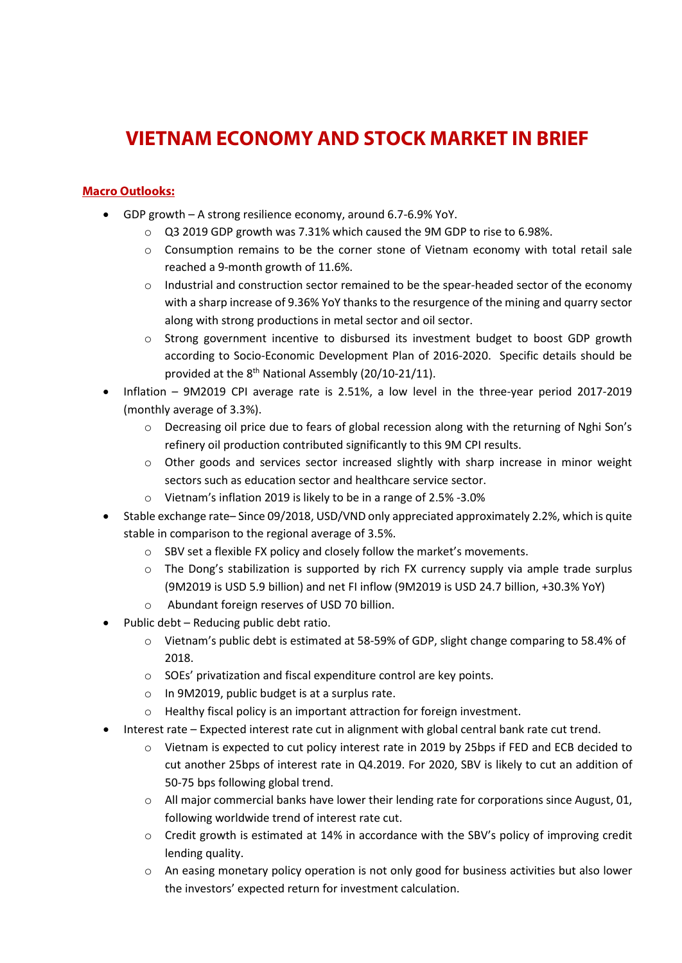# **VIETNAM ECONOMY AND STOCK MARKET IN BRIEF**

### **Macro Outlooks:**

- GDP growth A strong resilience economy, around 6.7-6.9% YoY.
	- o Q3 2019 GDP growth was 7.31% which caused the 9M GDP to rise to 6.98%.
	- $\circ$  Consumption remains to be the corner stone of Vietnam economy with total retail sale reached a 9-month growth of 11.6%.
	- $\circ$  Industrial and construction sector remained to be the spear-headed sector of the economy with a sharp increase of 9.36% YoY thanks to the resurgence of the mining and quarry sector along with strong productions in metal sector and oil sector.
	- o Strong government incentive to disbursed its investment budget to boost GDP growth according to Socio-Economic Development Plan of 2016-2020. Specific details should be provided at the 8th National Assembly (20/10-21/11).
- Inflation 9M2019 CPI average rate is 2.51%, a low level in the three-year period 2017-2019 (monthly average of 3.3%).
	- o Decreasing oil price due to fears of global recession along with the returning of Nghi Son's refinery oil production contributed significantly to this 9M CPI results.
	- o Other goods and services sector increased slightly with sharp increase in minor weight sectors such as education sector and healthcare service sector.
	- o Vietnam's inflation 2019 is likely to be in a range of 2.5% -3.0%
- Stable exchange rate– Since 09/2018, USD/VND only appreciated approximately 2.2%, which is quite stable in comparison to the regional average of 3.5%.
	- o SBV set a flexible FX policy and closely follow the market's movements.
	- o The Dong's stabilization is supported by rich FX currency supply via ample trade surplus (9M2019 is USD 5.9 billion) and net FI inflow (9M2019 is USD 24.7 billion, +30.3% YoY)
	- o Abundant foreign reserves of USD 70 billion.
- Public debt Reducing public debt ratio.
	- o Vietnam's public debt is estimated at 58-59% of GDP, slight change comparing to 58.4% of 2018.
	- o SOEs' privatization and fiscal expenditure control are key points.
	- o In 9M2019, public budget is at a surplus rate.
	- o Healthy fiscal policy is an important attraction for foreign investment.
- Interest rate Expected interest rate cut in alignment with global central bank rate cut trend.
	- o Vietnam is expected to cut policy interest rate in 2019 by 25bps if FED and ECB decided to cut another 25bps of interest rate in Q4.2019. For 2020, SBV is likely to cut an addition of 50-75 bps following global trend.
	- o All major commercial banks have lower their lending rate for corporations since August, 01, following worldwide trend of interest rate cut.
	- o Credit growth is estimated at 14% in accordance with the SBV's policy of improving credit lending quality.
	- o An easing monetary policy operation is not only good for business activities but also lower the investors' expected return for investment calculation.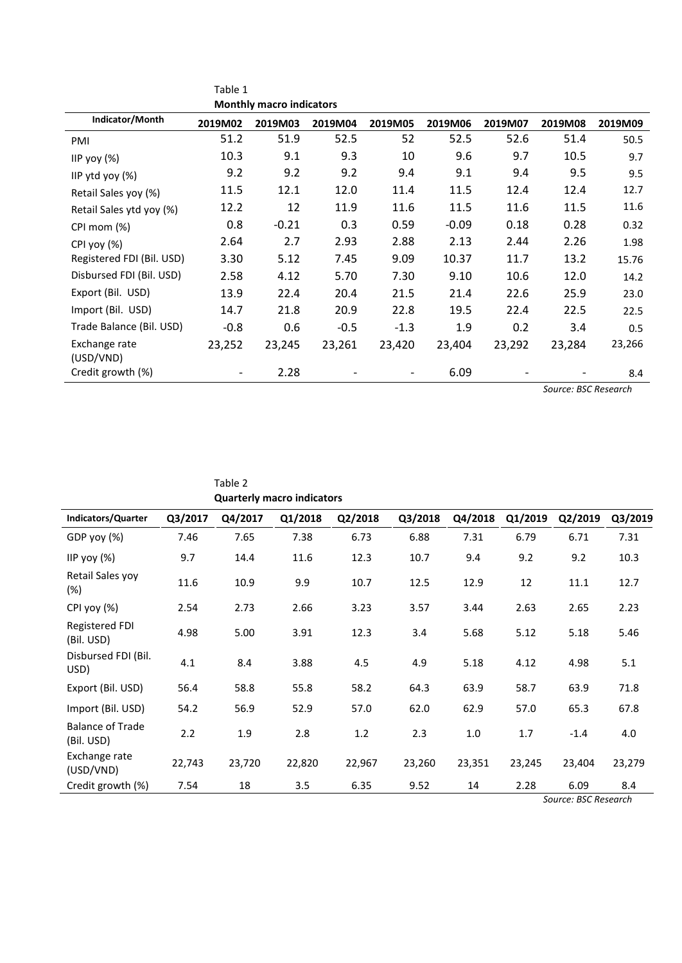|                            | Table 1 |                                 |         |         |         |         |         |         |
|----------------------------|---------|---------------------------------|---------|---------|---------|---------|---------|---------|
|                            |         | <b>Monthly macro indicators</b> |         |         |         |         |         |         |
| Indicator/Month            | 2019M02 | 2019M03                         | 2019M04 | 2019M05 | 2019M06 | 2019M07 | 2019M08 | 2019M09 |
| PMI                        | 51.2    | 51.9                            | 52.5    | 52      | 52.5    | 52.6    | 51.4    | 50.5    |
| IIP yoy $(\%)$             | 10.3    | 9.1                             | 9.3     | 10      | 9.6     | 9.7     | 10.5    | 9.7     |
| IIP ytd yoy $(\%)$         | 9.2     | 9.2                             | 9.2     | 9.4     | 9.1     | 9.4     | 9.5     | 9.5     |
| Retail Sales yoy (%)       | 11.5    | 12.1                            | 12.0    | 11.4    | 11.5    | 12.4    | 12.4    | 12.7    |
| Retail Sales ytd yoy (%)   | 12.2    | 12                              | 11.9    | 11.6    | 11.5    | 11.6    | 11.5    | 11.6    |
| CPI mom (%)                | 0.8     | $-0.21$                         | 0.3     | 0.59    | $-0.09$ | 0.18    | 0.28    | 0.32    |
| CPI yoy (%)                | 2.64    | 2.7                             | 2.93    | 2.88    | 2.13    | 2.44    | 2.26    | 1.98    |
| Registered FDI (Bil. USD)  | 3.30    | 5.12                            | 7.45    | 9.09    | 10.37   | 11.7    | 13.2    | 15.76   |
| Disbursed FDI (Bil. USD)   | 2.58    | 4.12                            | 5.70    | 7.30    | 9.10    | 10.6    | 12.0    | 14.2    |
| Export (Bil. USD)          | 13.9    | 22.4                            | 20.4    | 21.5    | 21.4    | 22.6    | 25.9    | 23.0    |
| Import (Bil. USD)          | 14.7    | 21.8                            | 20.9    | 22.8    | 19.5    | 22.4    | 22.5    | 22.5    |
| Trade Balance (Bil. USD)   | $-0.8$  | 0.6                             | $-0.5$  | $-1.3$  | 1.9     | 0.2     | 3.4     | 0.5     |
| Exchange rate<br>(USD/VND) | 23,252  | 23,245                          | 23,261  | 23,420  | 23,404  | 23,292  | 23,284  | 23,266  |
| Credit growth (%)          |         | 2.28                            |         |         | 6.09    |         |         | 8.4     |

*Source: BSC Research*

|                                       |         |         | <b>Quarterly macro indicators</b> |         |         |         |         |         |         |
|---------------------------------------|---------|---------|-----------------------------------|---------|---------|---------|---------|---------|---------|
| Indicators/Quarter                    | Q3/2017 | Q4/2017 | Q1/2018                           | Q2/2018 | Q3/2018 | Q4/2018 | Q1/2019 | Q2/2019 | Q3/2019 |
| GDP yoy (%)                           | 7.46    | 7.65    | 7.38                              | 6.73    | 6.88    | 7.31    | 6.79    | 6.71    | 7.31    |
| IIP yoy $(\%)$                        | 9.7     | 14.4    | 11.6                              | 12.3    | 10.7    | 9.4     | 9.2     | 9.2     | 10.3    |
| Retail Sales yoy<br>(%)               | 11.6    | 10.9    | 9.9                               | 10.7    | 12.5    | 12.9    | 12      | 11.1    | 12.7    |
| CPI yoy (%)                           | 2.54    | 2.73    | 2.66                              | 3.23    | 3.57    | 3.44    | 2.63    | 2.65    | 2.23    |
| Registered FDI<br>(Bil. USD)          | 4.98    | 5.00    | 3.91                              | 12.3    | 3.4     | 5.68    | 5.12    | 5.18    | 5.46    |
| Disbursed FDI (Bil.<br>USD)           | 4.1     | 8.4     | 3.88                              | 4.5     | 4.9     | 5.18    | 4.12    | 4.98    | 5.1     |
| Export (Bil. USD)                     | 56.4    | 58.8    | 55.8                              | 58.2    | 64.3    | 63.9    | 58.7    | 63.9    | 71.8    |
| Import (Bil. USD)                     | 54.2    | 56.9    | 52.9                              | 57.0    | 62.0    | 62.9    | 57.0    | 65.3    | 67.8    |
| <b>Balance of Trade</b><br>(Bil. USD) | 2.2     | 1.9     | 2.8                               | 1.2     | 2.3     | 1.0     | 1.7     | $-1.4$  | 4.0     |
| Exchange rate<br>(USD/VND)            | 22,743  | 23,720  | 22,820                            | 22,967  | 23,260  | 23,351  | 23,245  | 23,404  | 23,279  |
| Credit growth (%)                     | 7.54    | 18      | 3.5                               | 6.35    | 9.52    | 14      | 2.28    | 6.09    | 8.4     |

Table 2

*Source: BSC Research*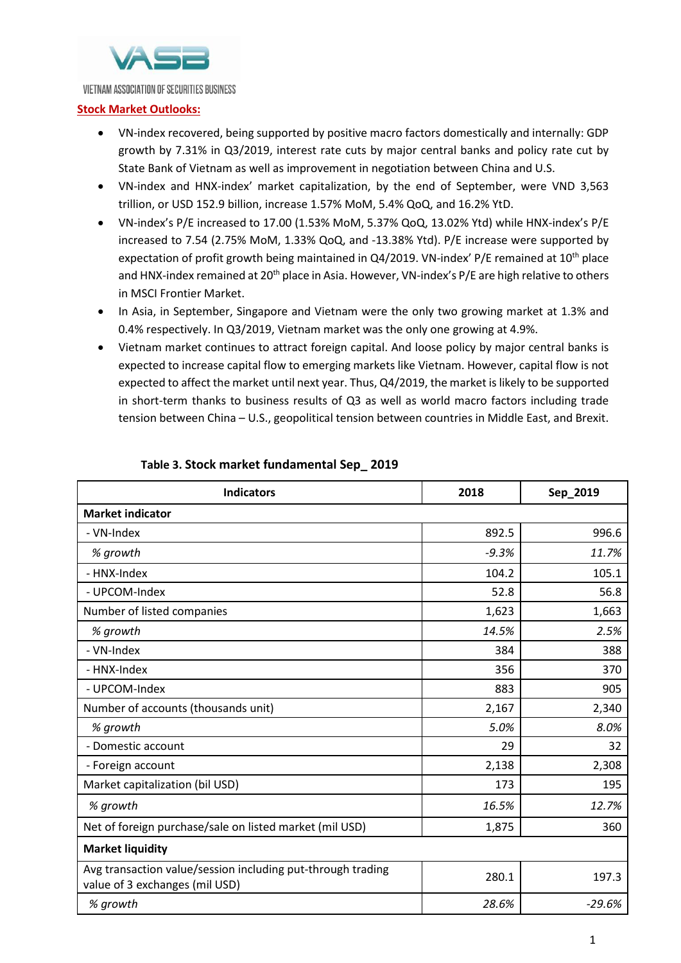

#### VIETNAM ASSOCIATION OF SECURITIES BUSINESS

#### **Stock Market Outlooks:**

- VN-index recovered, being supported by positive macro factors domestically and internally: GDP growth by 7.31% in Q3/2019, interest rate cuts by major central banks and policy rate cut by State Bank of Vietnam as well as improvement in negotiation between China and U.S.
- VN-index and HNX-index' market capitalization, by the end of September, were VND 3,563 trillion, or USD 152.9 billion, increase 1.57% MoM, 5.4% QoQ, and 16.2% YtD.
- VN-index's P/E increased to 17.00 (1.53% MoM, 5.37% QoQ, 13.02% Ytd) while HNX-index's P/E increased to 7.54 (2.75% MoM, 1.33% QoQ, and -13.38% Ytd). P/E increase were supported by expectation of profit growth being maintained in Q4/2019. VN-index' P/E remained at 10<sup>th</sup> place and HNX-index remained at 20<sup>th</sup> place in Asia. However, VN-index's P/E are high relative to others in MSCI Frontier Market.
- In Asia, in September, Singapore and Vietnam were the only two growing market at 1.3% and 0.4% respectively. In Q3/2019, Vietnam market was the only one growing at 4.9%.
- Vietnam market continues to attract foreign capital. And loose policy by major central banks is expected to increase capital flow to emerging markets like Vietnam. However, capital flow is not expected to affect the market until next year. Thus, Q4/2019, the market is likely to be supported in short-term thanks to business results of Q3 as well as world macro factors including trade tension between China – U.S., geopolitical tension between countries in Middle East, and Brexit.

| <b>Indicators</b>                                                                             | 2018    | Sep_2019 |
|-----------------------------------------------------------------------------------------------|---------|----------|
| <b>Market indicator</b>                                                                       |         |          |
| - VN-Index                                                                                    | 892.5   | 996.6    |
| % growth                                                                                      | $-9.3%$ | 11.7%    |
| - HNX-Index                                                                                   | 104.2   | 105.1    |
| - UPCOM-Index                                                                                 | 52.8    | 56.8     |
| Number of listed companies                                                                    | 1,623   | 1,663    |
| % growth                                                                                      | 14.5%   | 2.5%     |
| - VN-Index                                                                                    | 384     | 388      |
| - HNX-Index                                                                                   | 356     | 370      |
| - UPCOM-Index                                                                                 | 883     | 905      |
| Number of accounts (thousands unit)                                                           | 2,167   | 2,340    |
| % growth                                                                                      | 5.0%    | 8.0%     |
| - Domestic account                                                                            | 29      | 32       |
| - Foreign account                                                                             | 2,138   | 2,308    |
| Market capitalization (bil USD)                                                               | 173     | 195      |
| % growth                                                                                      | 16.5%   | 12.7%    |
| Net of foreign purchase/sale on listed market (mil USD)                                       | 1,875   | 360      |
| <b>Market liquidity</b>                                                                       |         |          |
| Avg transaction value/session including put-through trading<br>value of 3 exchanges (mil USD) | 280.1   | 197.3    |
| % growth                                                                                      | 28.6%   | $-29.6%$ |

#### **Table 3. Stock market fundamental Sep\_ 2019**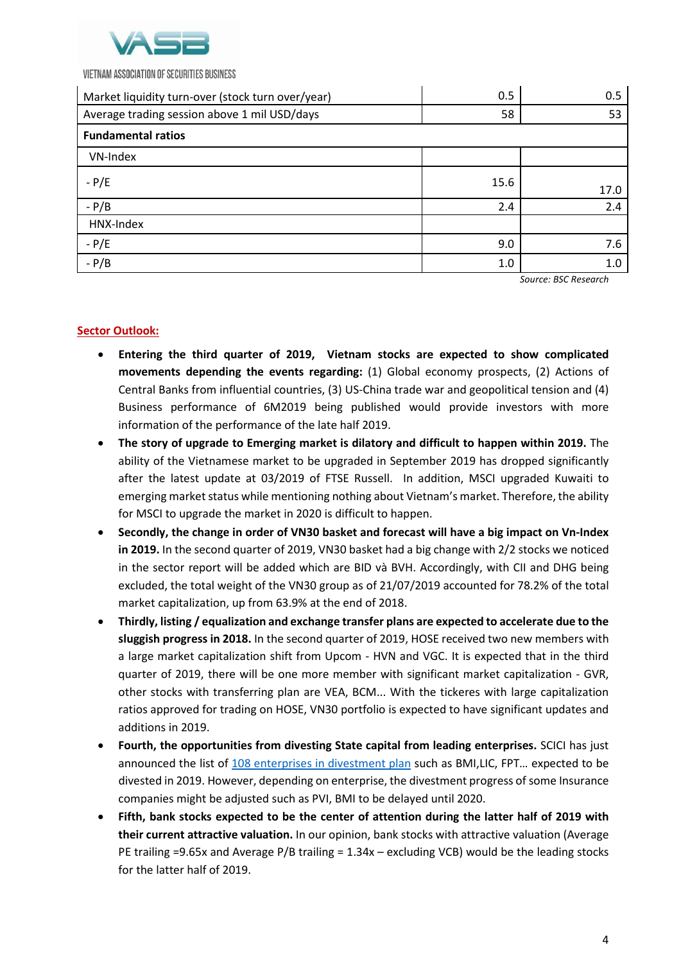

VIETNAM ASSOCIATION OF SECURITIES BUSINESS

| Market liquidity turn-over (stock turn over/year) | 0.5  | 0.5  |
|---------------------------------------------------|------|------|
| Average trading session above 1 mil USD/days      | 58   | 53   |
| <b>Fundamental ratios</b>                         |      |      |
| VN-Index                                          |      |      |
| $- P/E$                                           | 15.6 | 17.0 |
| $-P/B$                                            | 2.4  | 2.4  |
| HNX-Index                                         |      |      |
| $-P/E$                                            | 9.0  | 7.6  |
| $-P/B$                                            | 1.0  | 1.0  |

*Source: BSC Research*

## **Sector Outlook:**

- **Entering the third quarter of 2019, Vietnam stocks are expected to show complicated movements depending the events regarding:** (1) Global economy prospects, (2) Actions of Central Banks from influential countries, (3) US-China trade war and geopolitical tension and (4) Business performance of 6M2019 being published would provide investors with more information of the performance of the late half 2019.
- **The story of upgrade to Emerging market is dilatory and difficult to happen within 2019.** The ability of the Vietnamese market to be upgraded in September 2019 has dropped significantly after the latest update at 03/2019 of FTSE Russell. In addition, MSCI upgraded Kuwaiti to emerging market status while mentioning nothing about Vietnam's market. Therefore, the ability for MSCI to upgrade the market in 2020 is difficult to happen.
- **Secondly, the change in order of VN30 basket and forecast will have a big impact on Vn-Index in 2019.** In the second quarter of 2019, VN30 basket had a big change with 2/2 stocks we noticed in the sector report will be added which are BID và BVH. Accordingly, with CII and DHG being excluded, the total weight of the VN30 group as of 21/07/2019 accounted for 78.2% of the total market capitalization, up from 63.9% at the end of 2018.
- **Thirdly, listing / equalization and exchange transfer plans are expected to accelerate due to the sluggish progress in 2018.** In the second quarter of 2019, HOSE received two new members with a large market capitalization shift from Upcom - HVN and VGC. It is expected that in the third quarter of 2019, there will be one more member with significant market capitalization - GVR, other stocks with transferring plan are VEA, BCM... With the tickeres with large capitalization ratios approved for trading on HOSE, VN30 portfolio is expected to have significant updates and additions in 2019.
- **Fourth, the opportunities from divesting State capital from leading enterprises.** SCICI has just announced the list of [108 e](http://www.scic.vn/documents/Cong%20khai%20DS%20ban%20von%202019.PDF)nterprises in divestment plan such as BMI,LIC, FPT… expected to be divested in 2019. However, depending on enterprise, the divestment progress of some Insurance companies might be adjusted such as PVI, BMI to be delayed until 2020.
- **Fifth, bank stocks expected to be the center of attention during the latter half of 2019 with their current attractive valuation.** In our opinion, bank stocks with attractive valuation (Average PE trailing =9.65x and Average P/B trailing = 1.34x – excluding VCB) would be the leading stocks for the latter half of 2019.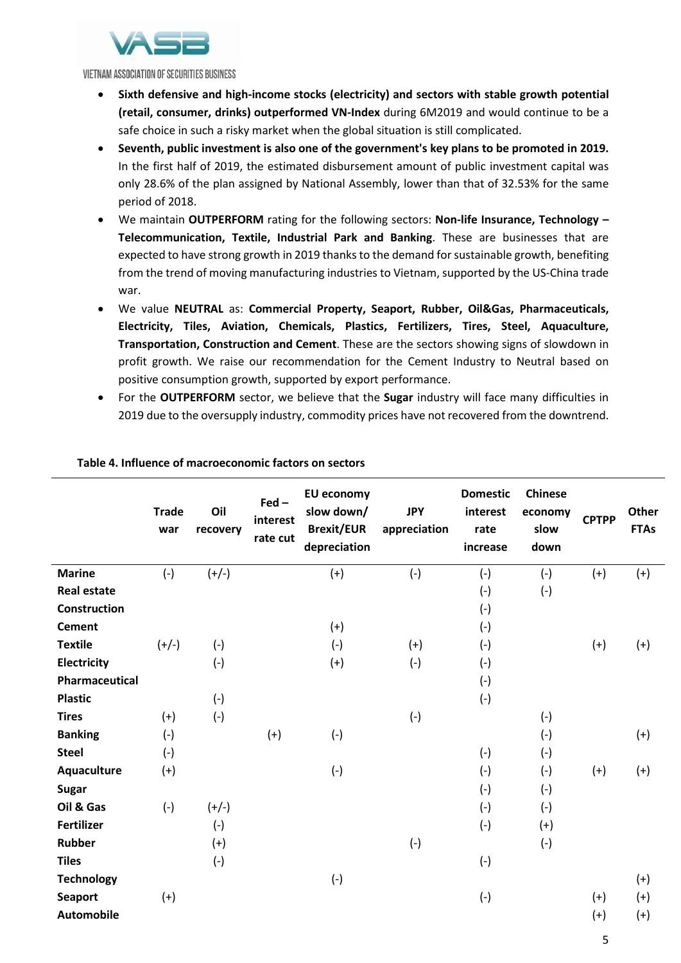

VIETNAM ASSOCIATION OF SECURITIES BUSINESS

- **Sixth defensive and high-income stocks (electricity) and sectors with stable growth potential (retail, consumer, drinks) outperformed VN-Index** during 6M2019 and would continue to be a safe choice in such a risky market when the global situation is still complicated.
- **Seventh, public investment is also one of the government's key plans to be promoted in 2019.**  In the first half of 2019, the estimated disbursement amount of public investment capital was only 28.6% of the plan assigned by National Assembly, lower than that of 32.53% for the same period of 2018.
- We maintain **OUTPERFORM** rating for the following sectors: **Non-life Insurance, Technology – Telecommunication, Textile, Industrial Park and Banking**. These are businesses that are expected to have strong growth in 2019 thanks to the demand for sustainable growth, benefiting from the trend of moving manufacturing industries to Vietnam, supported by the US-China trade war.
- We value **NEUTRAL** as: **Commercial Property, Seaport, Rubber, Oil&Gas, Pharmaceuticals, Electricity, Tiles, Aviation, Chemicals, Plastics, Fertilizers, Tires, Steel, Aquaculture, Transportation, Construction and Cement**. These are the sectors showing signs of slowdown in profit growth. We raise our recommendation for the Cement Industry to Neutral based on positive consumption growth, supported by export performance.
- For the **OUTPERFORM** sector, we believe that the **Sugar** industry will face many difficulties in 2019 due to the oversupply industry, commodity prices have not recovered from the downtrend.

|                     | <b>Trade</b><br>war | Oil<br>recovery | $\text{Fed}$ -<br>interest<br>rate cut | <b>EU economy</b><br>slow down/<br><b>Brexit/EUR</b><br>depreciation | <b>JPY</b><br>appreciation | <b>Domestic</b><br>interest<br>rate<br>increase | <b>Chinese</b><br>economy<br>slow<br>down | <b>CPTPP</b> | <b>Other</b><br><b>FTAs</b> |
|---------------------|---------------------|-----------------|----------------------------------------|----------------------------------------------------------------------|----------------------------|-------------------------------------------------|-------------------------------------------|--------------|-----------------------------|
| <b>Marine</b>       | $(-)$               | $(+/-)$         |                                        | $(+)$                                                                | $(-)$                      | $(-)$                                           | $(-)$                                     | $(+)$        | $(+)$                       |
| <b>Real estate</b>  |                     |                 |                                        |                                                                      |                            | $(-)$                                           | $(-)$                                     |              |                             |
| <b>Construction</b> |                     |                 |                                        |                                                                      |                            | $(-)$                                           |                                           |              |                             |
| <b>Cement</b>       |                     |                 |                                        | $(+)$                                                                |                            | $(-)$                                           |                                           |              |                             |
| <b>Textile</b>      | $(+/-)$             | $(-)$           |                                        | $(-)$                                                                | $(+)$                      | $(-)$                                           |                                           | $(+)$        | $(+)$                       |
| Electricity         |                     | $(-)$           |                                        | $(+)$                                                                | $(-)$                      | $(-)$                                           |                                           |              |                             |
| Pharmaceutical      |                     |                 |                                        |                                                                      |                            | $(-)$                                           |                                           |              |                             |
| <b>Plastic</b>      |                     | $(-)$           |                                        |                                                                      |                            | $(-)$                                           |                                           |              |                             |
| <b>Tires</b>        | $(+)$               | $(-)$           |                                        |                                                                      | $(-)$                      |                                                 | $(-)$                                     |              |                             |
| <b>Banking</b>      | $(-)$               |                 | $(+)$                                  | $(-)$                                                                |                            |                                                 | $(-)$                                     |              | $(+)$                       |
| <b>Steel</b>        | $(-)$               |                 |                                        |                                                                      |                            | $(-)$                                           | $(-)$                                     |              |                             |
| Aquaculture         | $(+)$               |                 |                                        | $(-)$                                                                |                            | $(-)$                                           | $(-)$                                     | $(+)$        | $(+)$                       |
| <b>Sugar</b>        |                     |                 |                                        |                                                                      |                            | $(-)$                                           | $(-)$                                     |              |                             |
| Oil & Gas           | $(-)$               | $(+/-)$         |                                        |                                                                      |                            | $(-)$                                           | $(-)$                                     |              |                             |
| <b>Fertilizer</b>   |                     | $(-)$           |                                        |                                                                      |                            | $(-)$                                           | $(+)$                                     |              |                             |
| <b>Rubber</b>       |                     | $(+)$           |                                        |                                                                      | $(-)$                      |                                                 | $(-)$                                     |              |                             |
| <b>Tiles</b>        |                     | $(-)$           |                                        |                                                                      |                            | $(-)$                                           |                                           |              |                             |
| <b>Technology</b>   |                     |                 |                                        | $(-)$                                                                |                            |                                                 |                                           |              | $(+)$                       |
| <b>Seaport</b>      | $(+)$               |                 |                                        |                                                                      |                            | $(-)$                                           |                                           | $(+)$        | $(+)$                       |
| <b>Automobile</b>   |                     |                 |                                        |                                                                      |                            |                                                 |                                           | $(+)$        | $(+)$                       |
|                     |                     |                 |                                        |                                                                      |                            |                                                 |                                           | 5            |                             |

#### **Table 4. Influence of macroeconomic factors on sectors**